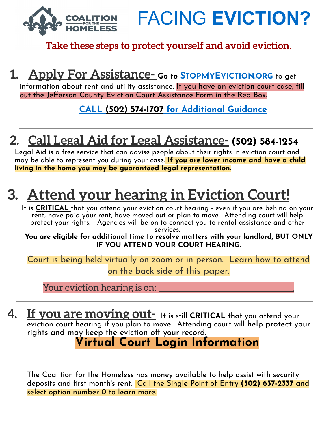FACING **EVICTION?**

#### **Take these steps to protect yourself and avoid eviction.**

### **1. Apply For Assistance- Go to <sup>S</sup>TOPMYEVICTION.ORG** to get

information about rent and utility assistance. If you have an eviction court case, fill out the Jefferson County Eviction Court Assistance Form in the Red Box.

**CALL (502) 574-1707 for Additional Guidance**

## **2. Call Legal Aid for Legal Assistance- (502) 584-1254**

Legal Aid is a free service that can advise people about their rights in eviction court and may be able to represent you during your case. **If you are lower income and have a child living in the home you may be guaranteed legal representation.**

# **3. Attend your hearing in Eviction Court!**

It is **CRITICAL** that you attend your eviction court hearing - even if you are behind on your rent, have paid your rent, have moved out or plan to move. Attending court will help protect your rights. Agencies will be on to connect you to rental assistance and other

services.

**You are eligible for additional time to resolve matters with your landlord, BUT ONLY IF YOU ATTEND YOUR COURT HEARING.**

Court is being held virtually on zoom or in person. Learn how to attend on the back side of this paper.

Your eviction hearing is on:

**4. If you are moving out-** It is still **CRITICAL** that you attend your eviction court hearing if you plan to move. Attending court will help protect your rights and may keep the eviction off your record.

**Virtual Court Login Information**

The Coalition for the Homeless has money available to help assist with security deposits and first month's rent. Call the Single Point of Entry **(502) 637-2337** and select option number 0 to learn more.